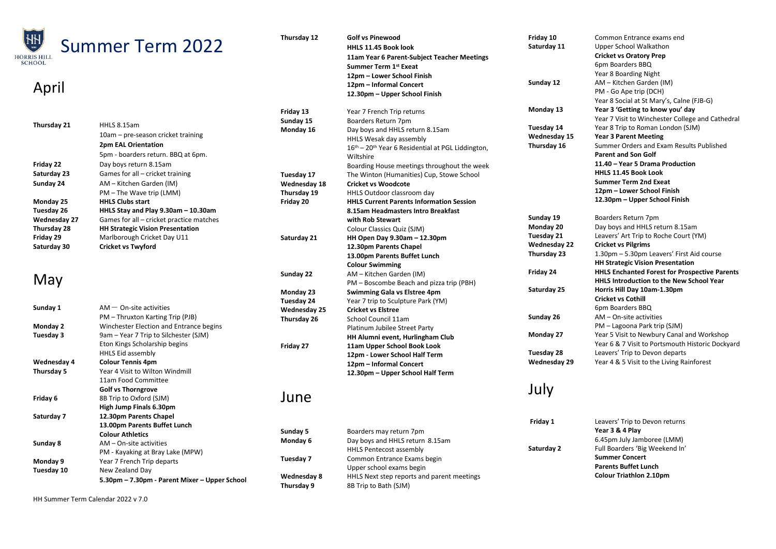| $\overline{\mathcal{H}}_{\scriptscriptstyle\mathrm{esc}}$<br><b>Summer Term 2022</b> |                                               | Thursday 12         | <b>Golf vs Pinewood</b>                             | Friday 10           | Common Entrance exams end                            |
|--------------------------------------------------------------------------------------|-----------------------------------------------|---------------------|-----------------------------------------------------|---------------------|------------------------------------------------------|
|                                                                                      |                                               |                     | HHLS 11.45 Book look                                | Saturday 11         | Upper School Walkathon                               |
| RIS HILL                                                                             |                                               |                     | 11am Year 6 Parent-Subject Teacher Meetings         |                     | <b>Cricket vs Oratory Prep</b>                       |
| HOOL                                                                                 |                                               |                     | Summer Term 1st Exeat                               |                     | 6pm Boarders BBQ                                     |
|                                                                                      |                                               |                     | 12pm - Lower School Finish                          |                     | Year 8 Boarding Night                                |
|                                                                                      |                                               |                     | 12pm - Informal Concert                             | Sunday 12           | AM - Kitchen Garden (IM)                             |
| April                                                                                |                                               |                     | 12.30pm - Upper School Finish                       |                     | PM - Go Ape trip (DCH)                               |
|                                                                                      |                                               |                     |                                                     |                     | Year 8 Social at St Mary's, Calne (FJB-G)            |
|                                                                                      |                                               | Friday 13           | Year 7 French Trip returns                          | Monday 13           | Year 3 'Getting to know you' day                     |
|                                                                                      |                                               | Sunday 15           | Boarders Return 7pm                                 |                     | Year 7 Visit to Winchester College and Cathedral     |
| Thursday 21                                                                          | HHLS 8.15am                                   | Monday 16           | Day boys and HHLS return 8.15am                     | Tuesday 14          | Year 8 Trip to Roman London (SJM)                    |
|                                                                                      | 10am – pre-season cricket training            |                     | HHLS Wesak day assembly                             | Wednesday 15        | <b>Year 3 Parent Meeting</b>                         |
|                                                                                      | 2pm EAL Orientation                           |                     |                                                     | Thursday 16         | Summer Orders and Exam Results Published             |
|                                                                                      | 5pm - boarders return. BBQ at 6pm.            |                     | $16th - 20th$ Year 6 Residential at PGL Liddington, |                     | <b>Parent and Son Golf</b>                           |
| Friday 22                                                                            | Day boys return 8.15am                        |                     | Wiltshire                                           |                     | 11.40 - Year 5 Drama Production                      |
| Saturday 23                                                                          | Games for all - cricket training              |                     | Boarding House meetings throughout the week         |                     | HHLS 11.45 Book Look                                 |
|                                                                                      |                                               | Tuesday 17          | The Winton (Humanities) Cup, Stowe School           |                     | <b>Summer Term 2nd Exeat</b>                         |
| Sunday 24                                                                            | AM – Kitchen Garden (IM)                      | Wednesday 18        | <b>Cricket vs Woodcote</b>                          |                     | 12pm – Lower School Finish                           |
|                                                                                      | PM - The Wave trip (LMM)                      | Thursday 19         | HHLS Outdoor classroom day                          |                     | 12.30pm - Upper School Finish                        |
| Monday 25                                                                            | <b>HHLS Clubs start</b>                       | Friday 20           | <b>HHLS Current Parents Information Session</b>     |                     |                                                      |
| Tuesday 26                                                                           | HHLS Stay and Play 9.30am - 10.30am           |                     | 8.15am Headmasters Intro Breakfast                  | Sunday 19           | Boarders Return 7pm                                  |
| Wednesday 27                                                                         | Games for all – cricket practice matches      |                     | with Rob Stewart                                    |                     |                                                      |
| Thursday 28                                                                          | <b>HH Strategic Vision Presentation</b>       |                     | Colour Classics Quiz (SJM)                          | Monday 20           | Day boys and HHLS return 8.15am                      |
| Friday 29                                                                            | Marlborough Cricket Day U11                   | Saturday 21         | HH Open Day 9.30am - 12.30pm                        | Tuesday 21          | Leavers' Art Trip to Roche Court (YM)                |
| Saturday 30                                                                          | <b>Cricket vs Twyford</b>                     |                     | 12.30pm Parents Chapel                              | <b>Wednesday 22</b> | <b>Cricket vs Pilgrims</b>                           |
|                                                                                      |                                               |                     | 13.00pm Parents Buffet Lunch                        | Thursday 23         | 1.30pm - 5.30pm Leavers' First Aid course            |
|                                                                                      |                                               |                     | <b>Colour Swimming</b>                              |                     | <b>HH Strategic Vision Presentation</b>              |
|                                                                                      |                                               | Sunday 22           | AM - Kitchen Garden (IM)                            | Friday 24           | <b>HHLS Enchanted Forest for Prospective Parents</b> |
| May                                                                                  |                                               |                     | PM - Boscombe Beach and pizza trip (PBH)            |                     | HHLS Introduction to the New School Year             |
|                                                                                      |                                               | Monday 23           | Swimming Gala vs Elstree 4pm                        | Saturday 25         | Horris Hill Day 10am-1.30pm                          |
|                                                                                      |                                               | Tuesday 24          | Year 7 trip to Sculpture Park (YM)                  |                     | <b>Cricket vs Cothill</b>                            |
| Sunday 1                                                                             | $AM - On-site activities$                     | <b>Wednesday 25</b> | <b>Cricket vs Elstree</b>                           |                     | 6pm Boarders BBQ                                     |
|                                                                                      | PM - Thruxton Karting Trip (PJB)              | Thursday 26         | School Council 11am                                 | Sunday 26           | AM - On-site activities                              |
| Monday 2                                                                             | Winchester Election and Entrance begins       |                     | Platinum Jubilee Street Party                       |                     | PM – Lagoona Park trip (SJM)                         |
| Tuesday 3                                                                            | 9am - Year 7 Trip to Silchester (SJM)         |                     | HH Alumni event, Hurlingham Club                    | Monday 27           | Year 5 Visit to Newbury Canal and Workshop           |
|                                                                                      | Eton Kings Scholarship begins                 | Friday 27           | 11am Upper School Book Look                         |                     | Year 6 & 7 Visit to Portsmouth Historic Dockyard     |
|                                                                                      | <b>HHLS Eid assembly</b>                      |                     | 12pm - Lower School Half Term                       | Tuesday 28          | Leavers' Trip to Devon departs                       |
| Wednesday 4                                                                          | <b>Colour Tennis 4pm</b>                      |                     | 12pm - Informal Concert                             | <b>Wednesday 29</b> | Year 4 & 5 Visit to the Living Rainforest            |
| Thursday 5                                                                           | Year 4 Visit to Wilton Windmill               |                     | 12.30pm – Upper School Half Term                    |                     |                                                      |
|                                                                                      | 11am Food Committee                           |                     |                                                     |                     |                                                      |
|                                                                                      | <b>Golf vs Thorngrove</b>                     |                     |                                                     | July                |                                                      |
| Friday 6                                                                             | 8B Trip to Oxford (SJM)                       | June                |                                                     |                     |                                                      |
|                                                                                      | High Jump Finals 6.30pm                       |                     |                                                     |                     |                                                      |
| Saturday 7                                                                           | 12.30pm Parents Chapel                        |                     |                                                     |                     |                                                      |
|                                                                                      | 13.00pm Parents Buffet Lunch                  |                     |                                                     | Friday 1            | Leavers' Trip to Devon returns                       |
|                                                                                      | <b>Colour Athletics</b>                       | Sunday 5            | Boarders may return 7pm                             |                     | Year 3 & 4 Play                                      |
| Sunday 8                                                                             | $AM$ – On-site activities                     | Monday 6            | Day boys and HHLS return 8.15am                     |                     | 6.45pm July Jamboree (LMM)                           |
|                                                                                      | PM - Kayaking at Bray Lake (MPW)              |                     | <b>HHLS Pentecost assembly</b>                      | Saturday 2          | Full Boarders 'Big Weekend In'                       |
| Monday 9                                                                             | Year 7 French Trip departs                    | Tuesday 7           | Common Entrance Exams begin                         |                     | <b>Summer Concert</b>                                |
| Tuesday 10                                                                           | New Zealand Day                               |                     | Upper school exams begin                            |                     | <b>Parents Buffet Lunch</b>                          |
|                                                                                      | 5.30pm – 7.30pm - Parent Mixer – Upper School | Wednesday 8         | HHLS Next step reports and parent meetings          |                     | <b>Colour Triathlon 2.10pm</b>                       |
|                                                                                      |                                               | Thursday 9          | 8B Trip to Bath (SJM)                               |                     |                                                      |

HH Summer Term Calendar 2022 v 7.0